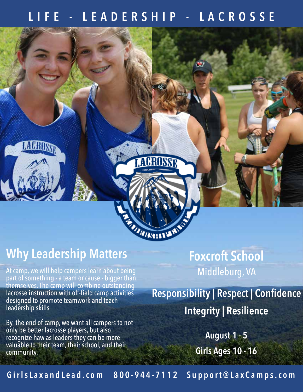#### LEADERSHIP - LACROSSE



### **Why Leadership Matters**

At camp, we will help campers learn about being part of something - a team or cause - bigger than themselves. The camp will combine outstanding lacrosse instruction with off-field camp activities designed to promote teamwork and teach leadership skills

By the end of camp, we want all campers to not only be better lacrosse players, but also recognize haw as leaders they can be more valuable to their team, their school, and their community.

## **Foxcroft School** Middleburg, VA

**Responsibility | Respect | Confidence Integrity | Resilience**

> **August 1 - 5 Girls Ages 10 - 16**

**G i r l s L a x a n d L e a d . c o m 8 0 0 - 9 4 4 - 7 1 1 2 S u p p o r t @ L a x C a m p s . c o m**